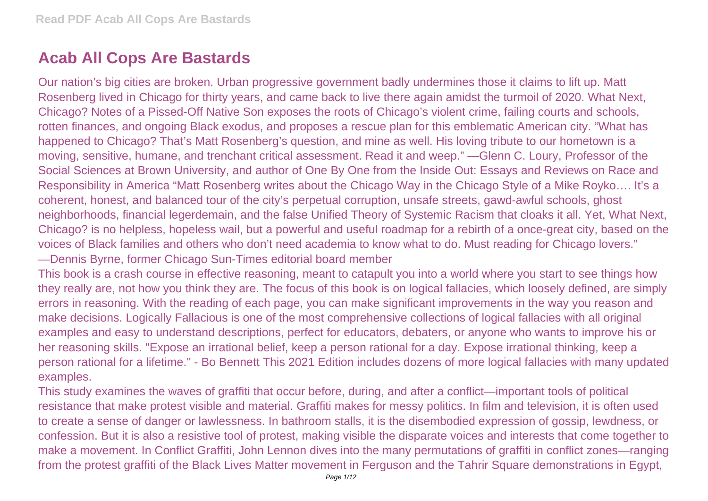## **Acab All Cops Are Bastards**

Our nation's big cities are broken. Urban progressive government badly undermines those it claims to lift up. Matt Rosenberg lived in Chicago for thirty years, and came back to live there again amidst the turmoil of 2020. What Next, Chicago? Notes of a Pissed-Off Native Son exposes the roots of Chicago's violent crime, failing courts and schools, rotten finances, and ongoing Black exodus, and proposes a rescue plan for this emblematic American city. "What has happened to Chicago? That's Matt Rosenberg's question, and mine as well. His loving tribute to our hometown is a moving, sensitive, humane, and trenchant critical assessment. Read it and weep." —Glenn C. Loury, Professor of the Social Sciences at Brown University, and author of One By One from the Inside Out: Essays and Reviews on Race and Responsibility in America "Matt Rosenberg writes about the Chicago Way in the Chicago Style of a Mike Royko…. It's a coherent, honest, and balanced tour of the city's perpetual corruption, unsafe streets, gawd-awful schools, ghost neighborhoods, financial legerdemain, and the false Unified Theory of Systemic Racism that cloaks it all. Yet, What Next, Chicago? is no helpless, hopeless wail, but a powerful and useful roadmap for a rebirth of a once-great city, based on the voices of Black families and others who don't need academia to know what to do. Must reading for Chicago lovers." —Dennis Byrne, former Chicago Sun-Times editorial board member

This book is a crash course in effective reasoning, meant to catapult you into a world where you start to see things how they really are, not how you think they are. The focus of this book is on logical fallacies, which loosely defined, are simply errors in reasoning. With the reading of each page, you can make significant improvements in the way you reason and make decisions. Logically Fallacious is one of the most comprehensive collections of logical fallacies with all original examples and easy to understand descriptions, perfect for educators, debaters, or anyone who wants to improve his or her reasoning skills. "Expose an irrational belief, keep a person rational for a day. Expose irrational thinking, keep a person rational for a lifetime." - Bo Bennett This 2021 Edition includes dozens of more logical fallacies with many updated examples.

This study examines the waves of graffiti that occur before, during, and after a conflict—important tools of political resistance that make protest visible and material. Graffiti makes for messy politics. In film and television, it is often used to create a sense of danger or lawlessness. In bathroom stalls, it is the disembodied expression of gossip, lewdness, or confession. But it is also a resistive tool of protest, making visible the disparate voices and interests that come together to make a movement. In Conflict Graffiti, John Lennon dives into the many permutations of graffiti in conflict zones—ranging from the protest graffiti of the Black Lives Matter movement in Ferguson and the Tahrir Square demonstrations in Egypt,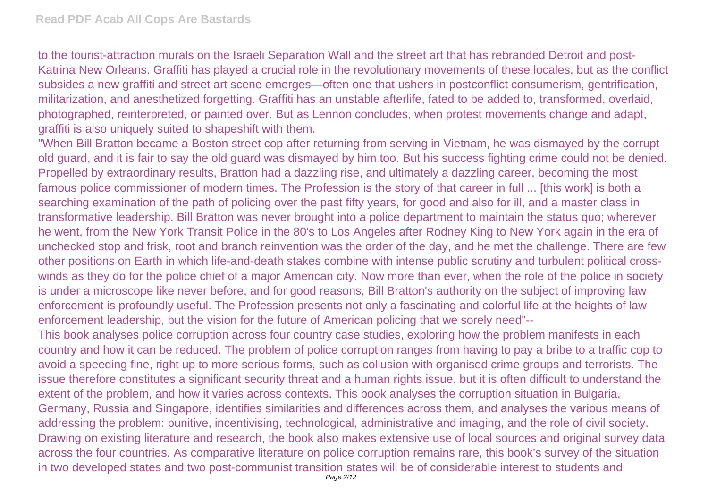to the tourist-attraction murals on the Israeli Separation Wall and the street art that has rebranded Detroit and post-Katrina New Orleans. Graffiti has played a crucial role in the revolutionary movements of these locales, but as the conflict subsides a new graffiti and street art scene emerges—often one that ushers in postconflict consumerism, gentrification, militarization, and anesthetized forgetting. Graffiti has an unstable afterlife, fated to be added to, transformed, overlaid, photographed, reinterpreted, or painted over. But as Lennon concludes, when protest movements change and adapt, graffiti is also uniquely suited to shapeshift with them.

"When Bill Bratton became a Boston street cop after returning from serving in Vietnam, he was dismayed by the corrupt old guard, and it is fair to say the old guard was dismayed by him too. But his success fighting crime could not be denied. Propelled by extraordinary results, Bratton had a dazzling rise, and ultimately a dazzling career, becoming the most famous police commissioner of modern times. The Profession is the story of that career in full ... [this work] is both a searching examination of the path of policing over the past fifty years, for good and also for ill, and a master class in transformative leadership. Bill Bratton was never brought into a police department to maintain the status quo; wherever he went, from the New York Transit Police in the 80's to Los Angeles after Rodney King to New York again in the era of unchecked stop and frisk, root and branch reinvention was the order of the day, and he met the challenge. There are few other positions on Earth in which life-and-death stakes combine with intense public scrutiny and turbulent political crosswinds as they do for the police chief of a major American city. Now more than ever, when the role of the police in society is under a microscope like never before, and for good reasons, Bill Bratton's authority on the subject of improving law enforcement is profoundly useful. The Profession presents not only a fascinating and colorful life at the heights of law enforcement leadership, but the vision for the future of American policing that we sorely need"--

This book analyses police corruption across four country case studies, exploring how the problem manifests in each country and how it can be reduced. The problem of police corruption ranges from having to pay a bribe to a traffic cop to avoid a speeding fine, right up to more serious forms, such as collusion with organised crime groups and terrorists. The issue therefore constitutes a significant security threat and a human rights issue, but it is often difficult to understand the extent of the problem, and how it varies across contexts. This book analyses the corruption situation in Bulgaria, Germany, Russia and Singapore, identifies similarities and differences across them, and analyses the various means of addressing the problem: punitive, incentivising, technological, administrative and imaging, and the role of civil society. Drawing on existing literature and research, the book also makes extensive use of local sources and original survey data across the four countries. As comparative literature on police corruption remains rare, this book's survey of the situation in two developed states and two post-communist transition states will be of considerable interest to students and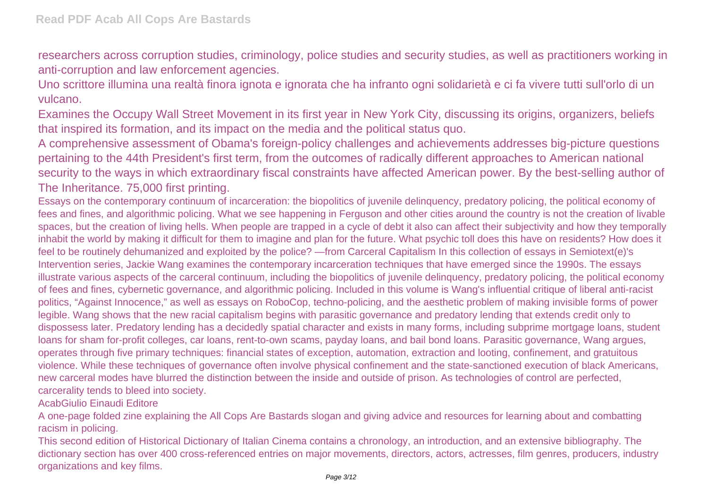researchers across corruption studies, criminology, police studies and security studies, as well as practitioners working in anti-corruption and law enforcement agencies.

Uno scrittore illumina una realtà finora ignota e ignorata che ha infranto ogni solidarietà e ci fa vivere tutti sull'orlo di un vulcano.

Examines the Occupy Wall Street Movement in its first year in New York City, discussing its origins, organizers, beliefs that inspired its formation, and its impact on the media and the political status quo.

A comprehensive assessment of Obama's foreign-policy challenges and achievements addresses big-picture questions pertaining to the 44th President's first term, from the outcomes of radically different approaches to American national security to the ways in which extraordinary fiscal constraints have affected American power. By the best-selling author of The Inheritance. 75,000 first printing.

Essays on the contemporary continuum of incarceration: the biopolitics of juvenile delinquency, predatory policing, the political economy of fees and fines, and algorithmic policing. What we see happening in Ferguson and other cities around the country is not the creation of livable spaces, but the creation of living hells. When people are trapped in a cycle of debt it also can affect their subjectivity and how they temporally inhabit the world by making it difficult for them to imagine and plan for the future. What psychic toll does this have on residents? How does it feel to be routinely dehumanized and exploited by the police? —from Carceral Capitalism In this collection of essays in Semiotext(e)'s Intervention series, Jackie Wang examines the contemporary incarceration techniques that have emerged since the 1990s. The essays illustrate various aspects of the carceral continuum, including the biopolitics of juvenile delinquency, predatory policing, the political economy of fees and fines, cybernetic governance, and algorithmic policing. Included in this volume is Wang's influential critique of liberal anti-racist politics, "Against Innocence," as well as essays on RoboCop, techno-policing, and the aesthetic problem of making invisible forms of power legible. Wang shows that the new racial capitalism begins with parasitic governance and predatory lending that extends credit only to dispossess later. Predatory lending has a decidedly spatial character and exists in many forms, including subprime mortgage loans, student loans for sham for-profit colleges, car loans, rent-to-own scams, payday loans, and bail bond loans. Parasitic governance, Wang argues, operates through five primary techniques: financial states of exception, automation, extraction and looting, confinement, and gratuitous violence. While these techniques of governance often involve physical confinement and the state-sanctioned execution of black Americans, new carceral modes have blurred the distinction between the inside and outside of prison. As technologies of control are perfected, carcerality tends to bleed into society.

AcabGiulio Einaudi Editore

A one-page folded zine explaining the All Cops Are Bastards slogan and giving advice and resources for learning about and combatting racism in policing.

This second edition of Historical Dictionary of Italian Cinema contains a chronology, an introduction, and an extensive bibliography. The dictionary section has over 400 cross-referenced entries on major movements, directors, actors, actresses, film genres, producers, industry organizations and key films.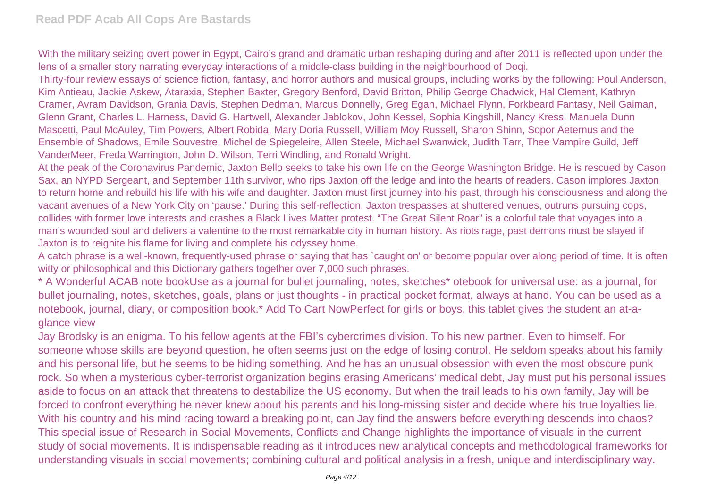With the military seizing overt power in Egypt. Cairo's grand and dramatic urban reshaping during and after 2011 is reflected upon under the lens of a smaller story narrating everyday interactions of a middle-class building in the neighbourhood of Doqi.

Thirty-four review essays of science fiction, fantasy, and horror authors and musical groups, including works by the following: Poul Anderson, Kim Antieau, Jackie Askew, Ataraxia, Stephen Baxter, Gregory Benford, David Britton, Philip George Chadwick, Hal Clement, Kathryn Cramer, Avram Davidson, Grania Davis, Stephen Dedman, Marcus Donnelly, Greg Egan, Michael Flynn, Forkbeard Fantasy, Neil Gaiman, Glenn Grant, Charles L. Harness, David G. Hartwell, Alexander Jablokov, John Kessel, Sophia Kingshill, Nancy Kress, Manuela Dunn Mascetti, Paul McAuley, Tim Powers, Albert Robida, Mary Doria Russell, William Moy Russell, Sharon Shinn, Sopor Aeternus and the Ensemble of Shadows, Emile Souvestre, Michel de Spiegeleire, Allen Steele, Michael Swanwick, Judith Tarr, Thee Vampire Guild, Jeff VanderMeer, Freda Warrington, John D. Wilson, Terri Windling, and Ronald Wright.

At the peak of the Coronavirus Pandemic, Jaxton Bello seeks to take his own life on the George Washington Bridge. He is rescued by Cason Sax, an NYPD Sergeant, and September 11th survivor, who rips Jaxton off the ledge and into the hearts of readers. Cason implores Jaxton to return home and rebuild his life with his wife and daughter. Jaxton must first journey into his past, through his consciousness and along the vacant avenues of a New York City on 'pause.' During this self-reflection, Jaxton trespasses at shuttered venues, outruns pursuing cops, collides with former love interests and crashes a Black Lives Matter protest. "The Great Silent Roar" is a colorful tale that voyages into a man's wounded soul and delivers a valentine to the most remarkable city in human history. As riots rage, past demons must be slayed if Jaxton is to reignite his flame for living and complete his odyssey home.

A catch phrase is a well-known, frequently-used phrase or saying that has `caught on' or become popular over along period of time. It is often witty or philosophical and this Dictionary gathers together over 7,000 such phrases.

\* A Wonderful ACAB note bookUse as a journal for bullet journaling, notes, sketches\* otebook for universal use: as a journal, for bullet journaling, notes, sketches, goals, plans or just thoughts - in practical pocket format, always at hand. You can be used as a notebook, journal, diary, or composition book.\* Add To Cart NowPerfect for girls or boys, this tablet gives the student an at-aglance view

Jay Brodsky is an enigma. To his fellow agents at the FBI's cybercrimes division. To his new partner. Even to himself. For someone whose skills are beyond question, he often seems just on the edge of losing control. He seldom speaks about his family and his personal life, but he seems to be hiding something. And he has an unusual obsession with even the most obscure punk rock. So when a mysterious cyber-terrorist organization begins erasing Americans' medical debt, Jay must put his personal issues aside to focus on an attack that threatens to destabilize the US economy. But when the trail leads to his own family, Jay will be forced to confront everything he never knew about his parents and his long-missing sister and decide where his true loyalties lie. With his country and his mind racing toward a breaking point, can Jay find the answers before everything descends into chaos? This special issue of Research in Social Movements, Conflicts and Change highlights the importance of visuals in the current study of social movements. It is indispensable reading as it introduces new analytical concepts and methodological frameworks for understanding visuals in social movements; combining cultural and political analysis in a fresh, unique and interdisciplinary way.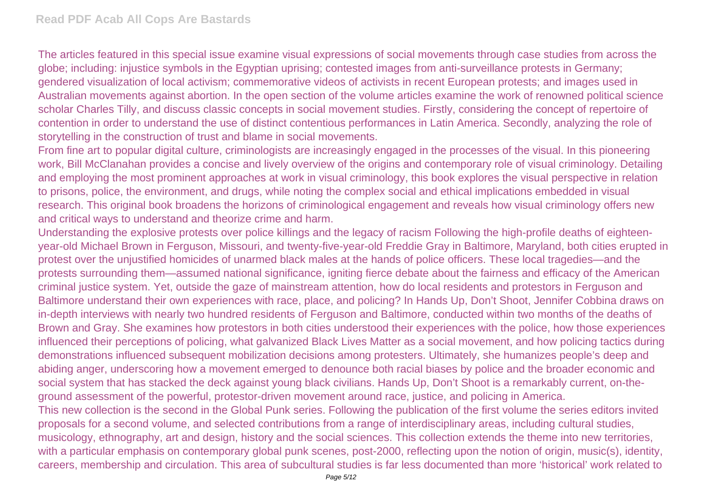The articles featured in this special issue examine visual expressions of social movements through case studies from across the globe; including: injustice symbols in the Egyptian uprising; contested images from anti-surveillance protests in Germany; gendered visualization of local activism; commemorative videos of activists in recent European protests; and images used in Australian movements against abortion. In the open section of the volume articles examine the work of renowned political science scholar Charles Tilly, and discuss classic concepts in social movement studies. Firstly, considering the concept of repertoire of contention in order to understand the use of distinct contentious performances in Latin America. Secondly, analyzing the role of storytelling in the construction of trust and blame in social movements.

From fine art to popular digital culture, criminologists are increasingly engaged in the processes of the visual. In this pioneering work, Bill McClanahan provides a concise and lively overview of the origins and contemporary role of visual criminology. Detailing and employing the most prominent approaches at work in visual criminology, this book explores the visual perspective in relation to prisons, police, the environment, and drugs, while noting the complex social and ethical implications embedded in visual research. This original book broadens the horizons of criminological engagement and reveals how visual criminology offers new and critical ways to understand and theorize crime and harm.

Understanding the explosive protests over police killings and the legacy of racism Following the high-profile deaths of eighteenyear-old Michael Brown in Ferguson, Missouri, and twenty-five-year-old Freddie Gray in Baltimore, Maryland, both cities erupted in protest over the unjustified homicides of unarmed black males at the hands of police officers. These local tragedies—and the protests surrounding them—assumed national significance, igniting fierce debate about the fairness and efficacy of the American criminal justice system. Yet, outside the gaze of mainstream attention, how do local residents and protestors in Ferguson and Baltimore understand their own experiences with race, place, and policing? In Hands Up, Don't Shoot, Jennifer Cobbina draws on in-depth interviews with nearly two hundred residents of Ferguson and Baltimore, conducted within two months of the deaths of Brown and Gray. She examines how protestors in both cities understood their experiences with the police, how those experiences influenced their perceptions of policing, what galvanized Black Lives Matter as a social movement, and how policing tactics during demonstrations influenced subsequent mobilization decisions among protesters. Ultimately, she humanizes people's deep and abiding anger, underscoring how a movement emerged to denounce both racial biases by police and the broader economic and social system that has stacked the deck against young black civilians. Hands Up, Don't Shoot is a remarkably current, on-theground assessment of the powerful, protestor-driven movement around race, justice, and policing in America.

This new collection is the second in the Global Punk series. Following the publication of the first volume the series editors invited proposals for a second volume, and selected contributions from a range of interdisciplinary areas, including cultural studies, musicology, ethnography, art and design, history and the social sciences. This collection extends the theme into new territories, with a particular emphasis on contemporary global punk scenes, post-2000, reflecting upon the notion of origin, music(s), identity, careers, membership and circulation. This area of subcultural studies is far less documented than more 'historical' work related to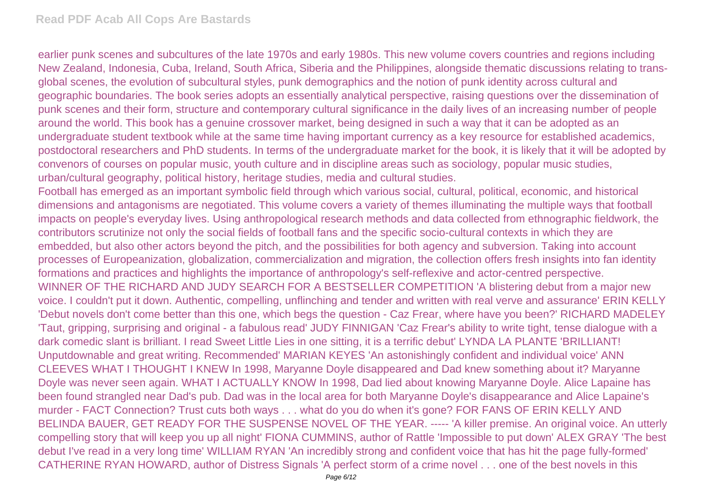earlier punk scenes and subcultures of the late 1970s and early 1980s. This new volume covers countries and regions including New Zealand, Indonesia, Cuba, Ireland, South Africa, Siberia and the Philippines, alongside thematic discussions relating to transglobal scenes, the evolution of subcultural styles, punk demographics and the notion of punk identity across cultural and geographic boundaries. The book series adopts an essentially analytical perspective, raising questions over the dissemination of punk scenes and their form, structure and contemporary cultural significance in the daily lives of an increasing number of people around the world. This book has a genuine crossover market, being designed in such a way that it can be adopted as an undergraduate student textbook while at the same time having important currency as a key resource for established academics, postdoctoral researchers and PhD students. In terms of the undergraduate market for the book, it is likely that it will be adopted by convenors of courses on popular music, youth culture and in discipline areas such as sociology, popular music studies, urban/cultural geography, political history, heritage studies, media and cultural studies.

Football has emerged as an important symbolic field through which various social, cultural, political, economic, and historical dimensions and antagonisms are negotiated. This volume covers a variety of themes illuminating the multiple ways that football impacts on people's everyday lives. Using anthropological research methods and data collected from ethnographic fieldwork, the contributors scrutinize not only the social fields of football fans and the specific socio-cultural contexts in which they are embedded, but also other actors beyond the pitch, and the possibilities for both agency and subversion. Taking into account processes of Europeanization, globalization, commercialization and migration, the collection offers fresh insights into fan identity formations and practices and highlights the importance of anthropology's self-reflexive and actor-centred perspective. WINNER OF THE RICHARD AND JUDY SEARCH FOR A BESTSELLER COMPETITION 'A blistering debut from a major new voice. I couldn't put it down. Authentic, compelling, unflinching and tender and written with real verve and assurance' ERIN KELLY 'Debut novels don't come better than this one, which begs the question - Caz Frear, where have you been?' RICHARD MADELEY 'Taut, gripping, surprising and original - a fabulous read' JUDY FINNIGAN 'Caz Frear's ability to write tight, tense dialogue with a dark comedic slant is brilliant. I read Sweet Little Lies in one sitting, it is a terrific debut' LYNDA LA PLANTE 'BRILLIANT! Unputdownable and great writing. Recommended' MARIAN KEYES 'An astonishingly confident and individual voice' ANN CLEEVES WHAT I THOUGHT I KNEW In 1998, Maryanne Doyle disappeared and Dad knew something about it? Maryanne Doyle was never seen again. WHAT I ACTUALLY KNOW In 1998, Dad lied about knowing Maryanne Doyle. Alice Lapaine has been found strangled near Dad's pub. Dad was in the local area for both Maryanne Doyle's disappearance and Alice Lapaine's murder - FACT Connection? Trust cuts both ways . . . what do you do when it's gone? FOR FANS OF ERIN KELLY AND BELINDA BAUER, GET READY FOR THE SUSPENSE NOVEL OF THE YEAR. ----- 'A killer premise. An original voice. An utterly compelling story that will keep you up all night' FIONA CUMMINS, author of Rattle 'Impossible to put down' ALEX GRAY 'The best debut I've read in a very long time' WILLIAM RYAN 'An incredibly strong and confident voice that has hit the page fully-formed' CATHERINE RYAN HOWARD, author of Distress Signals 'A perfect storm of a crime novel . . . one of the best novels in this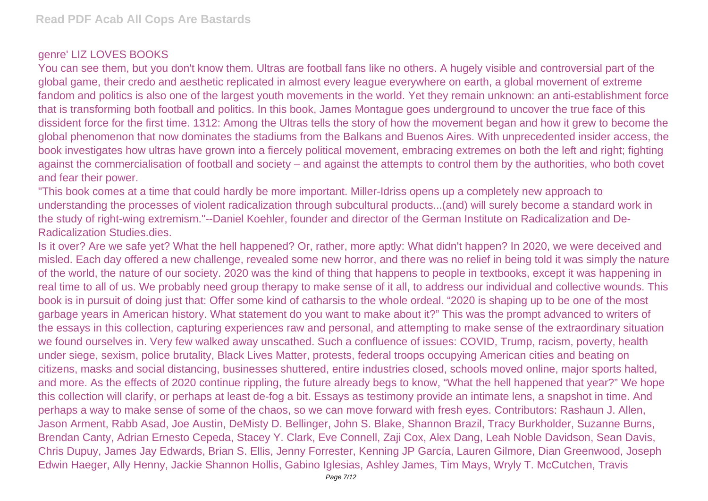## genre' LIZ LOVES BOOKS

You can see them, but you don't know them. Ultras are football fans like no others. A hugely visible and controversial part of the global game, their credo and aesthetic replicated in almost every league everywhere on earth, a global movement of extreme fandom and politics is also one of the largest youth movements in the world. Yet they remain unknown: an anti-establishment force that is transforming both football and politics. In this book, James Montague goes underground to uncover the true face of this dissident force for the first time. 1312: Among the Ultras tells the story of how the movement began and how it grew to become the global phenomenon that now dominates the stadiums from the Balkans and Buenos Aires. With unprecedented insider access, the book investigates how ultras have grown into a fiercely political movement, embracing extremes on both the left and right; fighting against the commercialisation of football and society – and against the attempts to control them by the authorities, who both covet and fear their power.

"This book comes at a time that could hardly be more important. Miller-Idriss opens up a completely new approach to understanding the processes of violent radicalization through subcultural products...(and) will surely become a standard work in the study of right-wing extremism."--Daniel Koehler, founder and director of the German Institute on Radicalization and De-Radicalization Studies.dies.

Is it over? Are we safe yet? What the hell happened? Or, rather, more aptly: What didn't happen? In 2020, we were deceived and misled. Each day offered a new challenge, revealed some new horror, and there was no relief in being told it was simply the nature of the world, the nature of our society. 2020 was the kind of thing that happens to people in textbooks, except it was happening in real time to all of us. We probably need group therapy to make sense of it all, to address our individual and collective wounds. This book is in pursuit of doing just that: Offer some kind of catharsis to the whole ordeal. "2020 is shaping up to be one of the most garbage years in American history. What statement do you want to make about it?" This was the prompt advanced to writers of the essays in this collection, capturing experiences raw and personal, and attempting to make sense of the extraordinary situation we found ourselves in. Very few walked away unscathed. Such a confluence of issues: COVID, Trump, racism, poverty, health under siege, sexism, police brutality, Black Lives Matter, protests, federal troops occupying American cities and beating on citizens, masks and social distancing, businesses shuttered, entire industries closed, schools moved online, major sports halted, and more. As the effects of 2020 continue rippling, the future already begs to know, "What the hell happened that year?" We hope this collection will clarify, or perhaps at least de-fog a bit. Essays as testimony provide an intimate lens, a snapshot in time. And perhaps a way to make sense of some of the chaos, so we can move forward with fresh eyes. Contributors: Rashaun J. Allen, Jason Arment, Rabb Asad, Joe Austin, DeMisty D. Bellinger, John S. Blake, Shannon Brazil, Tracy Burkholder, Suzanne Burns, Brendan Canty, Adrian Ernesto Cepeda, Stacey Y. Clark, Eve Connell, Zaji Cox, Alex Dang, Leah Noble Davidson, Sean Davis, Chris Dupuy, James Jay Edwards, Brian S. Ellis, Jenny Forrester, Kenning JP García, Lauren Gilmore, Dian Greenwood, Joseph Edwin Haeger, Ally Henny, Jackie Shannon Hollis, Gabino Iglesias, Ashley James, Tim Mays, Wryly T. McCutchen, Travis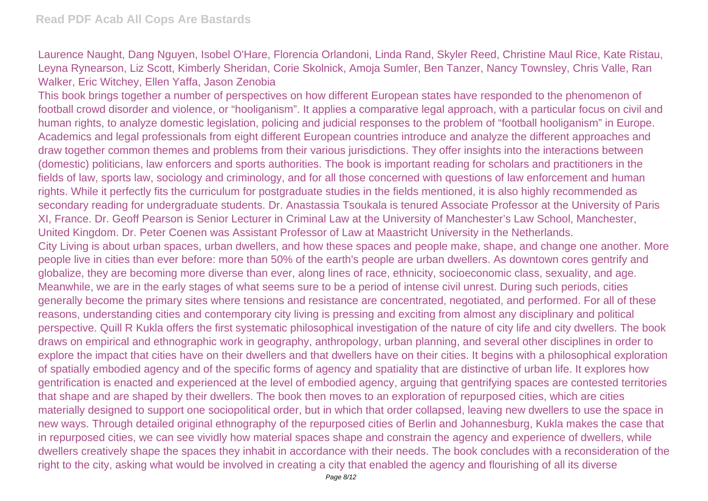Laurence Naught, Dang Nguyen, Isobel O'Hare, Florencia Orlandoni, Linda Rand, Skyler Reed, Christine Maul Rice, Kate Ristau, Leyna Rynearson, Liz Scott, Kimberly Sheridan, Corie Skolnick, Amoja Sumler, Ben Tanzer, Nancy Townsley, Chris Valle, Ran Walker, Eric Witchey, Ellen Yaffa, Jason Zenobia

This book brings together a number of perspectives on how different European states have responded to the phenomenon of football crowd disorder and violence, or "hooliganism". It applies a comparative legal approach, with a particular focus on civil and human rights, to analyze domestic legislation, policing and judicial responses to the problem of "football hooliganism" in Europe. Academics and legal professionals from eight different European countries introduce and analyze the different approaches and draw together common themes and problems from their various jurisdictions. They offer insights into the interactions between (domestic) politicians, law enforcers and sports authorities. The book is important reading for scholars and practitioners in the fields of law, sports law, sociology and criminology, and for all those concerned with questions of law enforcement and human rights. While it perfectly fits the curriculum for postgraduate studies in the fields mentioned, it is also highly recommended as secondary reading for undergraduate students. Dr. Anastassia Tsoukala is tenured Associate Professor at the University of Paris XI, France. Dr. Geoff Pearson is Senior Lecturer in Criminal Law at the University of Manchester's Law School, Manchester, United Kingdom. Dr. Peter Coenen was Assistant Professor of Law at Maastricht University in the Netherlands. City Living is about urban spaces, urban dwellers, and how these spaces and people make, shape, and change one another. More people live in cities than ever before: more than 50% of the earth's people are urban dwellers. As downtown cores gentrify and globalize, they are becoming more diverse than ever, along lines of race, ethnicity, socioeconomic class, sexuality, and age. Meanwhile, we are in the early stages of what seems sure to be a period of intense civil unrest. During such periods, cities generally become the primary sites where tensions and resistance are concentrated, negotiated, and performed. For all of these reasons, understanding cities and contemporary city living is pressing and exciting from almost any disciplinary and political perspective. Quill R Kukla offers the first systematic philosophical investigation of the nature of city life and city dwellers. The book draws on empirical and ethnographic work in geography, anthropology, urban planning, and several other disciplines in order to explore the impact that cities have on their dwellers and that dwellers have on their cities. It begins with a philosophical exploration of spatially embodied agency and of the specific forms of agency and spatiality that are distinctive of urban life. It explores how gentrification is enacted and experienced at the level of embodied agency, arguing that gentrifying spaces are contested territories that shape and are shaped by their dwellers. The book then moves to an exploration of repurposed cities, which are cities materially designed to support one sociopolitical order, but in which that order collapsed, leaving new dwellers to use the space in new ways. Through detailed original ethnography of the repurposed cities of Berlin and Johannesburg, Kukla makes the case that in repurposed cities, we can see vividly how material spaces shape and constrain the agency and experience of dwellers, while dwellers creatively shape the spaces they inhabit in accordance with their needs. The book concludes with a reconsideration of the right to the city, asking what would be involved in creating a city that enabled the agency and flourishing of all its diverse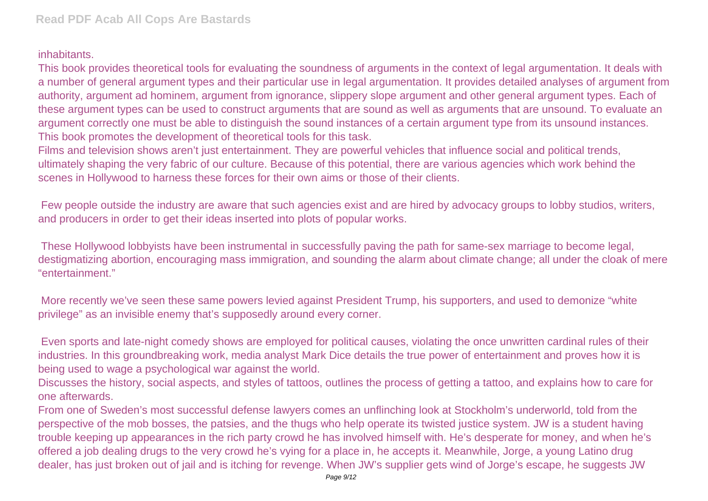## inhabitants.

This book provides theoretical tools for evaluating the soundness of arguments in the context of legal argumentation. It deals with a number of general argument types and their particular use in legal argumentation. It provides detailed analyses of argument from authority, argument ad hominem, argument from ignorance, slippery slope argument and other general argument types. Each of these argument types can be used to construct arguments that are sound as well as arguments that are unsound. To evaluate an argument correctly one must be able to distinguish the sound instances of a certain argument type from its unsound instances. This book promotes the development of theoretical tools for this task.

Films and television shows aren't just entertainment. They are powerful vehicles that influence social and political trends, ultimately shaping the very fabric of our culture. Because of this potential, there are various agencies which work behind the scenes in Hollywood to harness these forces for their own aims or those of their clients.

 Few people outside the industry are aware that such agencies exist and are hired by advocacy groups to lobby studios, writers, and producers in order to get their ideas inserted into plots of popular works.

 These Hollywood lobbyists have been instrumental in successfully paving the path for same-sex marriage to become legal, destigmatizing abortion, encouraging mass immigration, and sounding the alarm about climate change; all under the cloak of mere "entertainment."

 More recently we've seen these same powers levied against President Trump, his supporters, and used to demonize "white privilege" as an invisible enemy that's supposedly around every corner.

 Even sports and late-night comedy shows are employed for political causes, violating the once unwritten cardinal rules of their industries. In this groundbreaking work, media analyst Mark Dice details the true power of entertainment and proves how it is being used to wage a psychological war against the world.

Discusses the history, social aspects, and styles of tattoos, outlines the process of getting a tattoo, and explains how to care for one afterwards.

From one of Sweden's most successful defense lawyers comes an unflinching look at Stockholm's underworld, told from the perspective of the mob bosses, the patsies, and the thugs who help operate its twisted justice system. JW is a student having trouble keeping up appearances in the rich party crowd he has involved himself with. He's desperate for money, and when he's offered a job dealing drugs to the very crowd he's vying for a place in, he accepts it. Meanwhile, Jorge, a young Latino drug dealer, has just broken out of jail and is itching for revenge. When JW's supplier gets wind of Jorge's escape, he suggests JW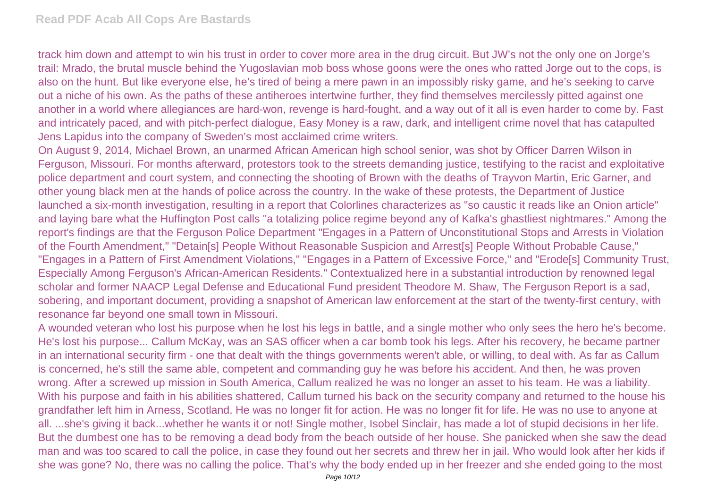track him down and attempt to win his trust in order to cover more area in the drug circuit. But JW's not the only one on Jorge's trail: Mrado, the brutal muscle behind the Yugoslavian mob boss whose goons were the ones who ratted Jorge out to the cops, is also on the hunt. But like everyone else, he's tired of being a mere pawn in an impossibly risky game, and he's seeking to carve out a niche of his own. As the paths of these antiheroes intertwine further, they find themselves mercilessly pitted against one another in a world where allegiances are hard-won, revenge is hard-fought, and a way out of it all is even harder to come by. Fast and intricately paced, and with pitch-perfect dialogue, Easy Money is a raw, dark, and intelligent crime novel that has catapulted Jens Lapidus into the company of Sweden's most acclaimed crime writers.

On August 9, 2014, Michael Brown, an unarmed African American high school senior, was shot by Officer Darren Wilson in Ferguson, Missouri. For months afterward, protestors took to the streets demanding justice, testifying to the racist and exploitative police department and court system, and connecting the shooting of Brown with the deaths of Trayvon Martin, Eric Garner, and other young black men at the hands of police across the country. In the wake of these protests, the Department of Justice launched a six-month investigation, resulting in a report that Colorlines characterizes as "so caustic it reads like an Onion article" and laying bare what the Huffington Post calls "a totalizing police regime beyond any of Kafka's ghastliest nightmares." Among the report's findings are that the Ferguson Police Department "Engages in a Pattern of Unconstitutional Stops and Arrests in Violation of the Fourth Amendment," "Detain[s] People Without Reasonable Suspicion and Arrest[s] People Without Probable Cause," "Engages in a Pattern of First Amendment Violations," "Engages in a Pattern of Excessive Force," and "Erode[s] Community Trust, Especially Among Ferguson's African-American Residents." Contextualized here in a substantial introduction by renowned legal scholar and former NAACP Legal Defense and Educational Fund president Theodore M. Shaw, The Ferguson Report is a sad, sobering, and important document, providing a snapshot of American law enforcement at the start of the twenty-first century, with resonance far beyond one small town in Missouri.

A wounded veteran who lost his purpose when he lost his legs in battle, and a single mother who only sees the hero he's become. He's lost his purpose... Callum McKay, was an SAS officer when a car bomb took his legs. After his recovery, he became partner in an international security firm - one that dealt with the things governments weren't able, or willing, to deal with. As far as Callum is concerned, he's still the same able, competent and commanding guy he was before his accident. And then, he was proven wrong. After a screwed up mission in South America, Callum realized he was no longer an asset to his team. He was a liability. With his purpose and faith in his abilities shattered, Callum turned his back on the security company and returned to the house his grandfather left him in Arness, Scotland. He was no longer fit for action. He was no longer fit for life. He was no use to anyone at all. ...she's giving it back...whether he wants it or not! Single mother, Isobel Sinclair, has made a lot of stupid decisions in her life. But the dumbest one has to be removing a dead body from the beach outside of her house. She panicked when she saw the dead man and was too scared to call the police, in case they found out her secrets and threw her in jail. Who would look after her kids if she was gone? No, there was no calling the police. That's why the body ended up in her freezer and she ended going to the most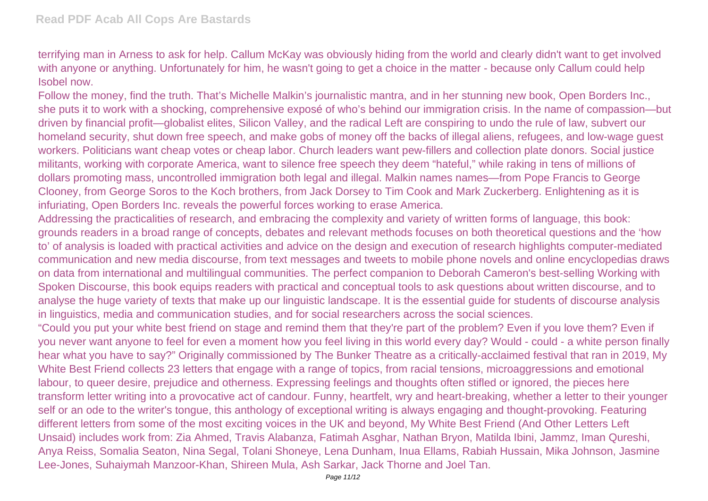terrifying man in Arness to ask for help. Callum McKay was obviously hiding from the world and clearly didn't want to get involved with anyone or anything. Unfortunately for him, he wasn't going to get a choice in the matter - because only Callum could help Isobel now.

Follow the money, find the truth. That's Michelle Malkin's journalistic mantra, and in her stunning new book, Open Borders Inc., she puts it to work with a shocking, comprehensive exposé of who's behind our immigration crisis. In the name of compassion—but driven by financial profit—globalist elites, Silicon Valley, and the radical Left are conspiring to undo the rule of law, subvert our homeland security, shut down free speech, and make gobs of money off the backs of illegal aliens, refugees, and low-wage guest workers. Politicians want cheap votes or cheap labor. Church leaders want pew-fillers and collection plate donors. Social justice militants, working with corporate America, want to silence free speech they deem "hateful," while raking in tens of millions of dollars promoting mass, uncontrolled immigration both legal and illegal. Malkin names names—from Pope Francis to George Clooney, from George Soros to the Koch brothers, from Jack Dorsey to Tim Cook and Mark Zuckerberg. Enlightening as it is infuriating, Open Borders Inc. reveals the powerful forces working to erase America.

Addressing the practicalities of research, and embracing the complexity and variety of written forms of language, this book: grounds readers in a broad range of concepts, debates and relevant methods focuses on both theoretical questions and the 'how to' of analysis is loaded with practical activities and advice on the design and execution of research highlights computer-mediated communication and new media discourse, from text messages and tweets to mobile phone novels and online encyclopedias draws on data from international and multilingual communities. The perfect companion to Deborah Cameron's best-selling Working with Spoken Discourse, this book equips readers with practical and conceptual tools to ask questions about written discourse, and to analyse the huge variety of texts that make up our linguistic landscape. It is the essential guide for students of discourse analysis in linguistics, media and communication studies, and for social researchers across the social sciences.

"Could you put your white best friend on stage and remind them that they're part of the problem? Even if you love them? Even if you never want anyone to feel for even a moment how you feel living in this world every day? Would - could - a white person finally hear what you have to say?" Originally commissioned by The Bunker Theatre as a critically-acclaimed festival that ran in 2019, My White Best Friend collects 23 letters that engage with a range of topics, from racial tensions, microaggressions and emotional labour, to queer desire, prejudice and otherness. Expressing feelings and thoughts often stifled or ignored, the pieces here transform letter writing into a provocative act of candour. Funny, heartfelt, wry and heart-breaking, whether a letter to their younger self or an ode to the writer's tongue, this anthology of exceptional writing is always engaging and thought-provoking. Featuring different letters from some of the most exciting voices in the UK and beyond, My White Best Friend (And Other Letters Left Unsaid) includes work from: Zia Ahmed, Travis Alabanza, Fatimah Asghar, Nathan Bryon, Matilda Ibini, Jammz, Iman Qureshi, Anya Reiss, Somalia Seaton, Nina Segal, Tolani Shoneye, Lena Dunham, Inua Ellams, Rabiah Hussain, Mika Johnson, Jasmine Lee-Jones, Suhaiymah Manzoor-Khan, Shireen Mula, Ash Sarkar, Jack Thorne and Joel Tan.